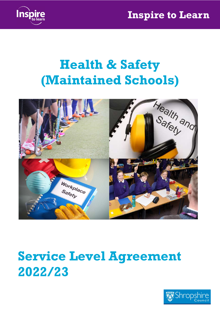

# Health & Safety (Maintained Schools)



# Service Level Agreement 2022/23

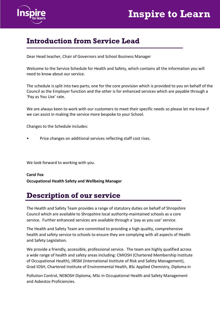

### Introduction from Service Lead

Dear Head teacher, Chair of Governors and School Business Manager

Welcome to the Service Schedule for Health and Safety, which contains all the information you will need to know about our service.

The schedule is split into two parts; one for the core provision which is provided to you on behalf of the Council as the Employer function and the other is for enhanced services which are payable through a 'Pay as You Use' rate.

We are always keen to work with our customers to meet their specific needs so please let me know if we can assist in making the service more bespoke to your School.

Changes to the Schedule includes:

• Price changes on additional services reflecting staff cost rises.

We look forward to working with you.

Carol Fox Occupational Health Safety and Wellbeing Manager

### Description of our service

The Health and Safety Team provides a range of statutory duties on behalf of Shropshire Council which are available to Shropshire local authority-maintained schools as a core service. Further enhanced services are available through a 'pay as you use' service.

The Health and Safety Team are committed to providing a high quality, comprehensive health and safety service to schools to ensure they are complying with all aspects of Health and Safety Legislation.

We provide a friendly, accessible, professional service. The team are highly qualified across a wide range of health and safety areas including: CMIOSH (Chartered Membership Institute of Occupational Health), IIRSM (International Institute of Risk and Safety Management), Grad IOSH, Chartered Institute of Environmental Health, BSc Applied Chemistry, Diploma in

Pollution Control, NEBOSH Diploma, MSc in Occupational Health and Safety Management and Asbestos Proficiencies.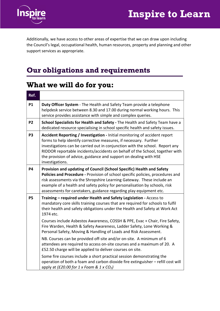



Additionally, we have access to other areas of expertise that we can draw upon including the Council's legal, occupational health, human resources, property and planning and other support services as appropriate.

### Our obligations and requirements

### What we will do for you:

| Ref.           |                                                                                                                                                                                                                                                                                                                                                                                                         |
|----------------|---------------------------------------------------------------------------------------------------------------------------------------------------------------------------------------------------------------------------------------------------------------------------------------------------------------------------------------------------------------------------------------------------------|
| <b>P1</b>      | Duty Officer System - The Health and Safety Team provide a telephone<br>helpdesk service between 8.30 and 17.00 during normal working hours. This<br>service provides assistance with simple and complex queries.                                                                                                                                                                                       |
| <b>P2</b>      | School Specialists for Health and Safety - The Health and Safety Team have a<br>dedicated resource specialising in school specific health and safety issues.                                                                                                                                                                                                                                            |
| P <sub>3</sub> | Accident Reporting / Investigation - Initial monitoring of accident report<br>forms to help identify corrective measures, if necessary. Further<br>investigations can be carried out in conjunction with the school. Report any<br>RIDDOR reportable incidents/accidents on behalf of the School, together with<br>the provision of advice, guidance and support on dealing with HSE<br>investigations. |
| <b>P4</b>      | Provision and updating of Council (School Specific) Health and Safety<br>Policies and Procedure - Provision of school specific policies, procedures and<br>risk assessments via the Shropshire Learning Gateway. These include an<br>example of a health and safety policy for personalisation by schools, risk<br>assessments for caretakers, guidance regarding play equipment etc.                   |
| <b>P5</b>      | Training - required under Health and Safety Legislation - Access to<br>mandatory core skills training courses that are required for schools to fulfil<br>their health and safety obligations under the Health and Safety at Work Act<br>1974 etc.                                                                                                                                                       |
|                | Courses include Asbestos Awareness, COSSH & PPE, Evac + Chair, Fire Safety,<br>Fire Warden, Health & Safety Awareness, Ladder Safety, Lone Working &<br>Personal Safety, Moving & Handling of Loads and Risk Assessment.                                                                                                                                                                                |
|                | NB. Courses can be provided off-site and/or on-site. A minimum of 6<br>attendees are required to access on-site courses and a maximum of 20. A<br>£52.50 charge will be applied to deliver courses on site.                                                                                                                                                                                             |
|                | Some fire courses include a short practical session demonstrating the<br>operation of both a foam and carbon dioxide fire extinguisher - refill cost will<br>apply at $(E20.00$ for 1 x Foam & 1 x CO <sub>2</sub> )                                                                                                                                                                                    |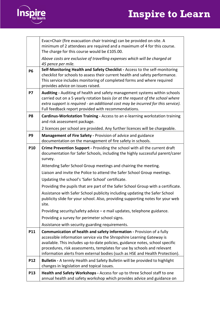## Inspire to Learn



|                | Evac+Chair (fire evacuation chair training) can be provided on-site. A<br>minimum of 2 attendees are required and a maximum of 4 for this course.<br>The charge for this course would be £105.00.                                                                                                                                                                                                 |
|----------------|---------------------------------------------------------------------------------------------------------------------------------------------------------------------------------------------------------------------------------------------------------------------------------------------------------------------------------------------------------------------------------------------------|
|                | Above costs are exclusive of travelling expenses which will be charged at<br>45 pence per mile.                                                                                                                                                                                                                                                                                                   |
| <b>P6</b>      | Self-Monitoring Health and Safety Checklist - Access to the self-monitoring<br>checklist for schools to assess their current health and safety performance.<br>This service includes monitoring of completed forms and where required<br>provides advice on issues raised.                                                                                                                        |
| <b>P7</b>      | Auditing - Auditing of health and safety management systems within schools<br>carried out on a 5 yearly rotation basis (or at the request of the school where<br>extra support is required - an additional cost may be incurred for this service).<br>Full feedback report provided with recommendations.                                                                                         |
| P <sub>8</sub> | Cardinus-Workstation Training - Access to an e-learning workstation training<br>and risk assessment package.                                                                                                                                                                                                                                                                                      |
|                | 2 licences per school are provided. Any further licences will be chargeable.                                                                                                                                                                                                                                                                                                                      |
| P <sub>9</sub> | Management of Fire Safety - Provision of advice and guidance<br>documentation on the management of fire safety in schools.                                                                                                                                                                                                                                                                        |
| <b>P10</b>     | Crime Prevention Support - Providing the school with all the current draft<br>documentation for Safer Schools, including the highly successful parent/carer<br>survey.                                                                                                                                                                                                                            |
|                | Attending Safer School Group meetings and chairing the meeting.                                                                                                                                                                                                                                                                                                                                   |
|                | Liaison and invite the Police to attend the Safer School Group meetings.                                                                                                                                                                                                                                                                                                                          |
|                | Updating the school's 'Safer School' certificate.                                                                                                                                                                                                                                                                                                                                                 |
|                | Providing the pupils that are part of the Safer School Group with a certificate.                                                                                                                                                                                                                                                                                                                  |
|                | Assistance with Safer School publicity including updating the Safer School<br>publicity slide for your school. Also, providing supporting notes for your web<br>site.                                                                                                                                                                                                                             |
|                | Providing security/safety advice - e mail updates, telephone guidance.                                                                                                                                                                                                                                                                                                                            |
|                | Providing a survey for perimeter school signs.                                                                                                                                                                                                                                                                                                                                                    |
|                | Assistance with security guarding requirements.                                                                                                                                                                                                                                                                                                                                                   |
| <b>P11</b>     | <b>Communication of health and safety information - Provision of a fully</b><br>accessible information service via the Shropshire Learning Gateway is<br>available. This includes up-to-date policies, guidance notes, school specific<br>procedures, risk assessments, templates for use by schools and relevant<br>information alerts from external bodies (such as HSE and Health Protection). |
| <b>P12</b>     | Bulletin - A termly Health and Safety Bulletin will be provided to highlight<br>changes in legislation and topical issues.                                                                                                                                                                                                                                                                        |
| <b>P13</b>     | Health and Safety Workshops - Access for up to three School staff to one<br>annual health and safety workshop which provides advice and guidance on                                                                                                                                                                                                                                               |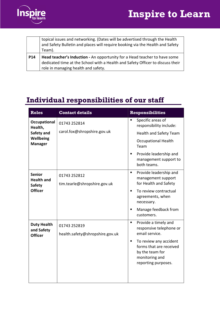



|     | topical issues and networking. (Dates will be advertised through the Health<br>and Safety Bulletin and places will require booking via the Health and Safety                                       |
|-----|----------------------------------------------------------------------------------------------------------------------------------------------------------------------------------------------------|
|     | Team).                                                                                                                                                                                             |
| P14 | Head teacher's Induction - An opportunity for a Head teacher to have some<br>dedicated time at the School with a Health and Safety Officer to discuss their<br>role in managing health and safety. |

### Individual responsibilities of our staff

| <b>Roles</b>                       | <b>Contact details</b>          | <b>Responsibilities</b>                                                                                                         |
|------------------------------------|---------------------------------|---------------------------------------------------------------------------------------------------------------------------------|
| Occupational<br>Health,            | 01743 252814                    | Specific areas of<br>Π<br>responsibility include:                                                                               |
| Safety and                         | carol.fox@shropshire.gov.uk     | <b>Health and Safety Team</b>                                                                                                   |
| Wellbeing<br><b>Manager</b>        |                                 | <b>Occupational Health</b><br>Team                                                                                              |
|                                    |                                 | Provide leadership and<br>٠<br>management support to<br>both teams.                                                             |
| <b>Senior</b>                      | 01743 252812                    | Provide leadership and<br>٠<br>management support                                                                               |
| <b>Health and</b><br><b>Safety</b> | tim.tearle@shropshire.gov.uk    | for Health and Safety                                                                                                           |
| <b>Officer</b>                     |                                 | To review contractual<br>$\blacksquare$<br>agreements, when<br>necessary.                                                       |
|                                    |                                 | Manage feedback from<br>٠<br>customers.                                                                                         |
| <b>Duty Health</b><br>and Safety   | 01743 252819                    | Provide a timely and<br>$\blacksquare$<br>responsive telephone or                                                               |
| <b>Officer</b>                     | health.safety@shropshire.gov.uk | email service.                                                                                                                  |
|                                    |                                 | To review any accident<br>$\blacksquare$<br>forms that are received<br>by the team for<br>monitoring and<br>reporting purposes. |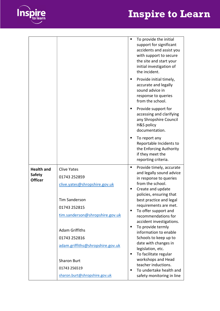## Inspire to Learn



|                                                      |                                                                                                                                                                         |             | To provide the initial<br>support for significant<br>accidents and assist you<br>with support to secure<br>the site and start your<br>initial investigation of<br>the incident.<br>Provide initial timely,<br>accurate and legally<br>sound advice in<br>response to queries<br>from the school.                                |
|------------------------------------------------------|-------------------------------------------------------------------------------------------------------------------------------------------------------------------------|-------------|---------------------------------------------------------------------------------------------------------------------------------------------------------------------------------------------------------------------------------------------------------------------------------------------------------------------------------|
|                                                      |                                                                                                                                                                         | ٠           | Provide support for<br>accessing and clarifying<br>any Shropshire Council<br>H&S policy<br>documentation.                                                                                                                                                                                                                       |
|                                                      |                                                                                                                                                                         |             | To report any<br>Reportable Incidents to<br>the Enforcing Authority<br>if they meet the<br>reporting criteria.                                                                                                                                                                                                                  |
| <b>Health and</b><br><b>Safety</b><br><b>Officer</b> | <b>Clive Yates</b><br>01743 252859<br>clive.yates@shropshire.gov.uk<br><b>Tim Sanderson</b><br>01743 252815<br>tim.sanderson@shropshire.gov.uk<br><b>Adam Griffiths</b> | ٠<br>٠<br>п | Provide timely, accurate<br>and legally sound advice<br>in response to queries<br>from the school.<br>Create and update<br>policies, ensuring that<br>best practice and legal<br>requirements are met.<br>To offer support and<br>recommendations for<br>accident investigations.<br>To provide termly<br>information to enable |
|                                                      | 01743 252816<br>adam.griffiths@shropshire.gov.uk<br><b>Sharon Burt</b><br>01743 256519<br>sharon.burt@shropshire.gov.uk                                                 | п<br>п      | Schools to keep up to<br>date with changes in<br>legislation, etc.<br>To facilitate regular<br>workshops and Head<br>teacher inductions.<br>To undertake health and<br>safety monitoring in line                                                                                                                                |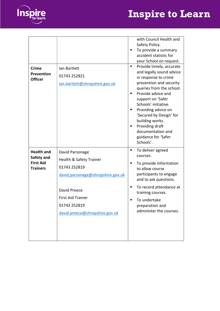



|                   |                                   |   | with Council Health and                          |
|-------------------|-----------------------------------|---|--------------------------------------------------|
|                   |                                   | п | Safety Policy.                                   |
|                   |                                   |   | To provide a summary<br>accident statistic for   |
|                   |                                   |   | your School on request.                          |
| <b>Crime</b>      | Ian Bartlett                      | П | Provide timely, accurate                         |
| Prevention        | 01743 252821                      |   | and legally sound advice<br>in response to crime |
| <b>Officer</b>    | ian.bartlett@shropshire.gov.uk    |   | prevention and security                          |
|                   |                                   |   | queries from the school.                         |
|                   |                                   | ٠ | Provide advice and                               |
|                   |                                   |   | support on 'Safer<br>Schools' initiative.        |
|                   |                                   |   | Providing advice on                              |
|                   |                                   |   | 'Secured by Design' for                          |
|                   |                                   |   | building works.                                  |
|                   |                                   | п | Providing draft                                  |
|                   |                                   |   | documentation and<br>guidance for 'Safer         |
|                   |                                   |   | Schools'.                                        |
| <b>Health and</b> | David Parsonage                   | п | To deliver agreed                                |
| Safety and        |                                   |   | courses.                                         |
| <b>First Aid</b>  | Health & Safety Trainer           |   | To provide information                           |
|                   | 01743 252819                      |   |                                                  |
| <b>Trainers</b>   |                                   |   | to allow course                                  |
|                   | david.parsonage@shropshire.gov.uk |   | participants to engage<br>and to ask questions.  |
|                   | David Preece                      |   | To record attendance at                          |
|                   | <b>First Aid Trainer</b>          |   | training courses.                                |
|                   | 01743 252819                      | ■ | To undertake                                     |
|                   |                                   |   | preparation and<br>administer the courses.       |
|                   | david.preece@shropshire.gov.uk    |   |                                                  |
|                   |                                   |   |                                                  |
|                   |                                   |   |                                                  |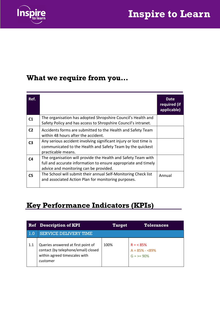

### What we require from you…

| Ref.           |                                                                                                                                                                           | Date<br>required (if<br>applicable) |
|----------------|---------------------------------------------------------------------------------------------------------------------------------------------------------------------------|-------------------------------------|
| C <sub>1</sub> | The organisation has adopted Shropshire Council's Health and<br>Safety Policy and has access to Shropshire Council's intranet.                                            |                                     |
| C <sub>2</sub> | Accidents forms are submitted to the Health and Safety Team<br>within 48 hours after the accident.                                                                        |                                     |
| C <sub>3</sub> | Any serious accident involving significant injury or lost time is<br>communicated to the Health and Safety Team by the quickest<br>practicable means.                     |                                     |
| C4             | The organisation will provide the Health and Safety Team with<br>full and accurate information to ensure appropriate and timely<br>advice and monitoring can be provided. |                                     |
| C5             | The School will submit their annual Self-Monitoring Check list<br>and associated Action Plan for monitoring purposes.                                                     | Annual                              |

### Key Performance Indicators (KPIs)

|               | <b>Ref</b> Description of KPI                                                                                          | <b>Target</b> | <b>Tolerances</b>                                 |
|---------------|------------------------------------------------------------------------------------------------------------------------|---------------|---------------------------------------------------|
| $\vert\,$ 1.0 | <b>SERVICE DELIVERY TIME</b>                                                                                           |               |                                                   |
| 1.1           | Queries answered at first point of<br>contact (by telephone/email) closed<br>within agreed timescales with<br>customer | 100%          | $R = < 85\%$<br>$A = 85% - 89%$<br>$G = \ge 90\%$ |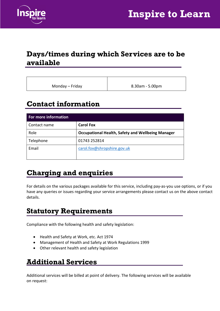



#### Days/times during which Services are to be available

Monday – Friday **Example 1** 8.30am - 5.00pm

### Contact information

| For more information |                                                          |  |  |  |
|----------------------|----------------------------------------------------------|--|--|--|
| Contact name         | <b>Carol Fox</b>                                         |  |  |  |
| Role                 | <b>Occupational Health, Safety and Wellbeing Manager</b> |  |  |  |
| Telephone            | 01743 252814                                             |  |  |  |
| Email                | carol.fox@shropshire.gov.uk                              |  |  |  |
|                      |                                                          |  |  |  |

### Charging and enquiries

For details on the various packages available for this service, including pay-as-you use options, or if you have any queries or issues regarding your service arrangements please contact us on the above contact details.

### Statutory Requirements

Compliance with the following health and safety legislation:

- Health and Safety at Work, etc. Act 1974
- Management of Health and Safety at Work Regulations 1999
- Other relevant health and safety legislation

#### Additional Services

Additional services will be billed at point of delivery. The following services will be available on request: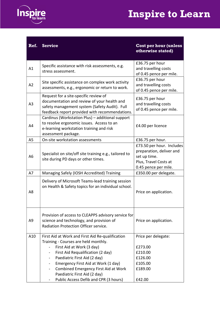



| Ref.           | <b>Service</b>                                                                                                                                                                                                                                                                                                                                                  | <b>Cost per hour (unless</b><br>otherwise stated)                                                                      |
|----------------|-----------------------------------------------------------------------------------------------------------------------------------------------------------------------------------------------------------------------------------------------------------------------------------------------------------------------------------------------------------------|------------------------------------------------------------------------------------------------------------------------|
| A1             | Specific assistance with risk assessments, e.g.<br>stress assessment.                                                                                                                                                                                                                                                                                           | £36.75 per hour<br>and travelling costs<br>of 0.45 pence per mile.                                                     |
| A2             | Site specific assistance on complex work activity<br>assessments, e.g., ergonomic or return to work.                                                                                                                                                                                                                                                            | £36.75 per hour<br>and travelling costs<br>of 0.45 pence per mile.                                                     |
| A <sub>3</sub> | Request for a site-specific review of<br>documentation and review of your health and<br>safety management system (Safety Audit). Full<br>feedback report provided with recommendations.                                                                                                                                                                         | £36.75 per hour<br>and travelling costs<br>of 0.45 pence per mile.                                                     |
| A4             | Cardinus (Workstation Plus) - additional support<br>to resolve ergonomic issues. Access to an<br>e-learning workstation training and risk<br>assessment package.                                                                                                                                                                                                | £4.00 per licence                                                                                                      |
| A <sub>5</sub> | On-site workstation assessments                                                                                                                                                                                                                                                                                                                                 | £36.75 per hour.                                                                                                       |
| A <sub>6</sub> | Specialist on site/off site training e.g., tailored to<br>site during PD days or other times.                                                                                                                                                                                                                                                                   | £73.50 per hour. Includes<br>preparation, deliver and<br>set up time.<br>Plus, Travel Costs at<br>0.45 pence per mile. |
| A7             | Managing Safely (IOSH Accredited) Training                                                                                                                                                                                                                                                                                                                      | £350.00 per delegate.                                                                                                  |
| A8             | Delivery of Microsoft Teams-lead training session<br>on Health & Safety topics for an individual school.                                                                                                                                                                                                                                                        | Price on application.                                                                                                  |
| A9             | Provision of access to CLEAPPS advisory service for<br>science and technology, and provision of<br>Radiation Protection Officer service.                                                                                                                                                                                                                        | Price on application.                                                                                                  |
| A10            | First Aid at Work and First Aid Re-qualification<br>Training - Courses are held monthly.<br>First Aid at Work (3 day)<br>First Aid Requalification (2 day)<br>$\blacksquare$<br>Paediatric First Aid (2 day)<br>$\blacksquare$<br>Emergency First Aid at Work (1 day)<br>$\blacksquare$<br>Combined Emergency First Aid at Work<br>Paediatric First Aid (2 day) | Price per delegate:<br>£273.00<br>£210.00<br>£126.00<br>£105.00<br>£189.00                                             |
|                | Public Access Defib and CPR (3 hours)                                                                                                                                                                                                                                                                                                                           | £42.00                                                                                                                 |